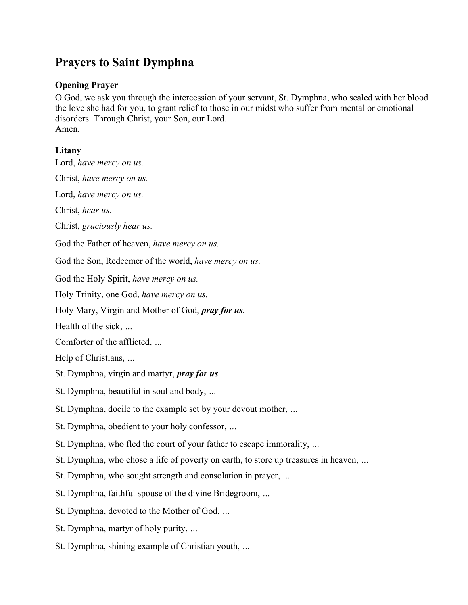## **Prayers to Saint Dymphna**

## **Opening Prayer**

O God, we ask you through the intercession of your servant, St. Dymphna, who sealed with her blood the love she had for you, to grant relief to those in our midst who suffer from mental or emotional disorders. Through Christ, your Son, our Lord. Amen.

## **Litany**

Lord, *have mercy on us.*

Christ, *have mercy on us.*

Lord, *have mercy on us.*

Christ, *hear us.*

Christ, *graciously hear us.*

God the Father of heaven, *have mercy on us.*

God the Son, Redeemer of the world, *have mercy on us.*

God the Holy Spirit, *have mercy on us.*

Holy Trinity, one God, *have mercy on us.*

Holy Mary, Virgin and Mother of God, *pray for us.*

Health of the sick, *…* 

Comforter of the afflicted, *…* 

Help of Christians, *…*

St. Dymphna, virgin and martyr, *pray for us.*

St. Dymphna, beautiful in soul and body, *…*

St. Dymphna, docile to the example set by your devout mother, *…*

St. Dymphna, obedient to your holy confessor, *…*

St. Dymphna, who fled the court of your father to escape immorality, *…*

St. Dymphna, who chose a life of poverty on earth, to store up treasures in heaven, *…*

St. Dymphna, who sought strength and consolation in prayer, *…*

St. Dymphna, faithful spouse of the divine Bridegroom, *…*

St. Dymphna, devoted to the Mother of God, *…*

St. Dymphna, martyr of holy purity, *…*

St. Dymphna, shining example of Christian youth, *…*